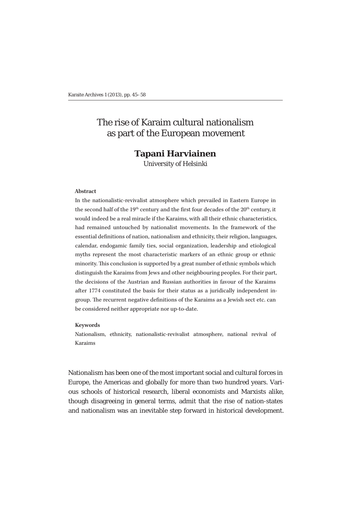# The rise of Karaim cultural nationalism as part of the European movement

# **Tapani Harviainen** University of Helsinki

#### **Abstract**

In the nationalistic-revivalist atmosphere which prevailed in Eastern Europe in the second half of the 19<sup>th</sup> century and the first four decades of the  $20<sup>th</sup>$  century, it would indeed be a real miracle if the Karaims, with all their ethnic characteristics, had remained untouched by nationalist movements. In the framework of the essential definitions of nation, nationalism and ethnicity, their religion, languages, calendar, endogamic family ties, social organization, leadership and etiological myths represent the most characteristic markers of an ethnic group or ethnic minority. This conclusion is supported by a great number of ethnic symbols which distinguish the Karaims from Jews and other neighbouring peoples. For their part, the decisions of the Austrian and Russian authorities in favour of the Karaims after 1774 constituted the basis for their status as a juridically independent ingroup. The recurrent negative definitions of the Karaims as a Jewish sect etc. can be considered neither appropriate nor up-to-date.

#### **Keywords**

Nationalism, ethnicity, nationalistic-revivalist atmosphere, national revival of Karaims

Nationalism has been one of the most important social and cultural forces in Europe, the Americas and globally for more than two hundred years. Various schools of historical research, liberal economists and Marxists alike, though disagreeing in general terms, admit that the rise of nation-states and nationalism was an inevitable step forward in historical development.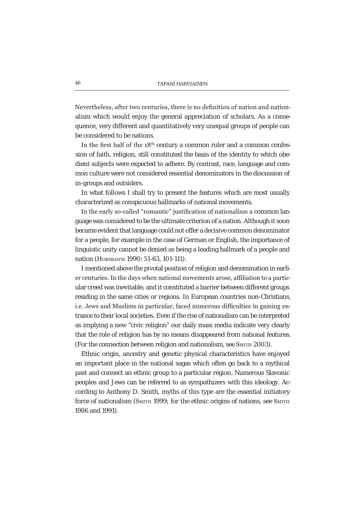Nevertheless, after two centuries, there is no definition of nation and nationalism which would enjoy the general appreciation of scholars. As a consequence, very different and quantitatively very unequal groups of people can be considered to be nations.

In the first half of the  $18<sup>th</sup>$  century a common ruler and a common confession of faith, religion, still constituted the basis of the identity to which obedient subjects were expected to adhere. By contrast, race, language and common culture were not considered essential denominators in the discussion of in-groups and outsiders.

In what follows I shall try to present the features which are most usually characterized as conspicuous hallmarks of national movements.

In the early so-called "romantic" iustification of nationalism a common language was considered to be the ultimate criterion of a nation. Although it soon became evident that language could not offer a decisive common denominator for a people, for example in the case of German or English, the importance of linguistic unity cannot be denied as being a leading hallmark of a people and nation (HOBSBAWM 1990: 51-63, 101-111).

I mentioned above the pivotal position of religion and denomination in earlier centuries. In the days when national movements arose, affiliation to a particular creed was inevitable, and it constituted a barrier between different groups residing in the same cities or regions. In European countries non-Christians, i.e. Jews and Muslims in particular, faced numerous difficulties in gaining entrance to their local societies. Even if the rise of nationalism can be interpreted as implying a new "civic religion" our daily mass media indicate very clearly that the role of religion has by no means disappeared from national features. (For the connection between religion and nationalism, see SMITH 2003).

Ethnic origin, ancestry and genetic physical characteristics have enjoyed an important place in the national sagas which often go back to a mythical past and connect an ethnic group to a particular region. Numerous Slavonic peoples and Jews can be referred to as sympathizers with this ideology. According to Anthony D. Smith*,* myths of this type are the essential initiatory force of nationalism (SMITH 1999; for the ethnic origins of nations, see SMITH 1986 and 1991).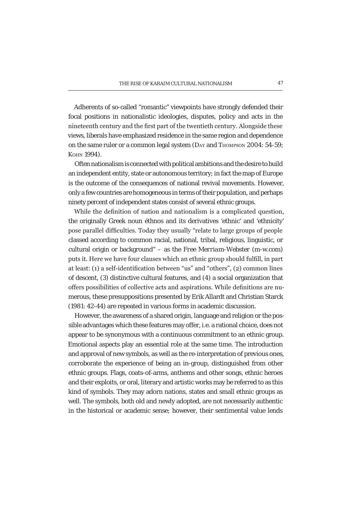Adherents of so-called "romantic" viewpoints have strongly defended their focal positions in nationalistic ideologies, disputes, policy and acts in the nineteenth century and the first part of the twentieth century. Alongside these views, liberals have emphasized residence in the same region and dependence on the same ruler or a common legal system (DAY and THOMPSON 2004: 54-59; KOHN 1994).

Often nationalism is connected with political ambitions and the desire to build an independent entity, state or autonomous territory; in fact the map of Europe is the outcome of the consequences of national revival movements. However, only a few countries are homogeneous in terms of their population, and perhaps ninety percent of independent states consist of several ethnic groups.

While the definition of nation and nationalism is a complicated question. the originally Greek noun *éthnos* and its derivatives 'ethnic' and 'ethnicity' pose parallel difficulties. Today they usually "relate to large groups of people classed according to common racial, national, tribal, religious, linguistic, or cultural origin or background" – as the *Free Merriam-Webster* (m-w.com) puts it. Here we have four clauses which an ethnic group should fulfill, in part at least: (1) a self-identification between "us" and "others". (2) common lines of descent, (3) distinctive cultural features, and (4) a social organization that offers possibilities of collective acts and aspirations. While definitions are numerous, these presuppositions presented by Erik Allardt and Christian Starck (1981: 42-44) are repeated in various forms in academic discussion.

However, the awareness of a shared origin, language and religion or the possible advantages which these features may offer, i.e. a rational choice, does not appear to be synonymous with a continuous commitment to an ethnic group. Emotional aspects play an essential role at the same time. The introduction and approval of new symbols, as well as the re-interpretation of previous ones, corroborate the experience of being an in-group, distinguished from other ethnic groups. Flags, coats-of-arms, anthems and other songs, ethnic heroes and their exploits, or oral, literary and artistic works may be referred to as this kind of symbols. They may adorn nations, states and small ethnic groups as well. The symbols, both old and newly adopted, are not necessarily authentic in the historical or academic sense; however, their sentimental value lends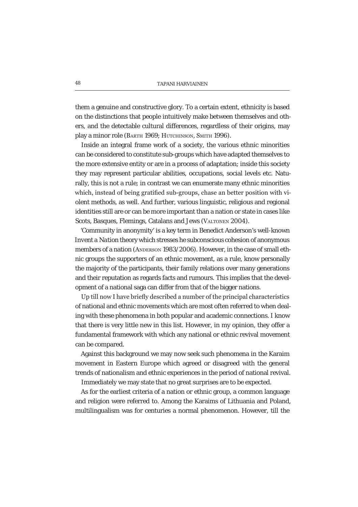them a genuine and constructive glory. To a certain extent, ethnicity is based on the distinctions that people intuitively make between themselves and others, and the detectable cultural differences, regardless of their origins, may play a minor role (BARTH 1969; HUTCHINSON, SMITH 1996).

Inside an integral frame work of a society, the various ethnic minorities can be considered to constitute sub-groups which have adapted themselves to the more extensive entity or are in a process of adaptation; inside this society they may represent particular abilities, occupations, social levels etc. Naturally, this is not a rule; in contrast we can enumerate many ethnic minorities which, instead of being gratified sub-groups, chase an better position with violent methods, as well. And further, various linguistic, religious and regional identities still are or can be more important than a nation or state in cases like Scots, Basques, Flemings, Catalans and Jews (VALTONEN 2004).

'Community in anonymity' is a key term in Benedict Anderson's well-known *Invent a Nation* theory which stresses he subconscious cohesion of anonymous members of a nation (ANDERSON 1983/2006). However, in the case of small ethnic groups the supporters of an ethnic movement, as a rule, know personally the majority of the participants, their family relations over many generations and their reputation as regards facts and rumours. This implies that the development of a national saga can differ from that of the bigger nations.

Up till now I have briefly described a number of the principal characteristics of national and ethnic movements which are most often referred to when dealing with these phenomena in both popular and academic connections. I know that there is very little new in this list. However, in my opinion, they offer a fundamental framework with which any national or ethnic revival movement can be compared.

Against this background we may now seek such phenomena in the Karaim movement in Eastern Europe which agreed or disagreed with the general trends of nationalism and ethnic experiences in the period of national revival.

Immediately we may state that no great surprises are to be expected.

As for the earliest criteria of a nation or ethnic group, a common language and religion were referred to. Among the Karaims of Lithuania and Poland, multilingualism was for centuries a normal phenomenon. However, till the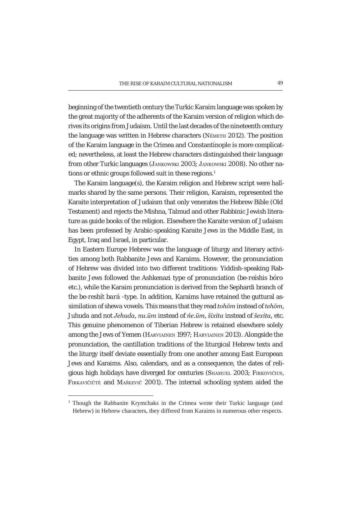beginning of the twentieth century the Turkic Karaim language was spoken by the great majority of the adherents of the Karaim version of religion which derives its origins from Judaism. Until the last decades of the nineteenth century the language was written in Hebrew characters (NÉMETH 2012). The position of the Karaim language in the Crimea and Constantinople is more complicated; nevertheless, at least the Hebrew characters distinguished their language from other Turkic languages (JANKOWSKI 2003; JANKOWSKI 2008). No other nations or ethnic groups followed suit in these regions.<sup>1</sup>

The Karaim language(s), the Karaim religion and Hebrew script were hallmarks shared by the same persons. Their religion, Karaism, represented the Karaite interpretation of Judaism that only venerates the Hebrew Bible (Old Testament) and rejects the Mishna, Talmud and other Rabbinic Jewish literature as guide books of the religion. Elsewhere the Karaite version of Judaism has been professed by Arabic-speaking Karaite Jews in the Middle East, in Egypt, Iraq and Israel, in particular.

In Eastern Europe Hebrew was the language of liturgy and literary activities among both Rabbanite Jews and Karaims. However, the pronunciation of Hebrew was divided into two different traditions: Yiddish-speaking Rabbanite Jews followed the Ashkenazi type of pronunciation *(be-reíshis bóro*  etc.), while the Karaim pronunciation is derived from the Sephardi branch of the *be-reshít bará* -type. In addition, Karaims have retained the guttural assimilation of *shewa* vowels. This means that they read *tohom* instead of *tehom*, *Juhuda* and not *Jehuda, nu.um* instead of *ńe.um, šixita* instead of *šexita,* etc. This genuine phenomenon of Tiberian Hebrew is retained elsewhere solely among the Jews of Yemen (HARVIAINEN 1997; HARVIAINEN 2013). Alongside the pronunciation, the cantillation traditions of the liturgical Hebrew texts and the liturgy itself deviate essentially from one another among East European Jews and Karaims. Also, calendars, and as a consequence, the dates of religious high holidays have diverged for centuries (SHAMUEL 2003; FIRKOVIČIUS, FIRKAVIČIŪTĖ and MAŠKEVIČ 2001). The internal schooling system aided the

<sup>1</sup> Though the Rabbanite Krymchaks in the Crimea wrote their Turkic language (and Hebrew) in Hebrew characters, they differed from Karaims in numerous other respects.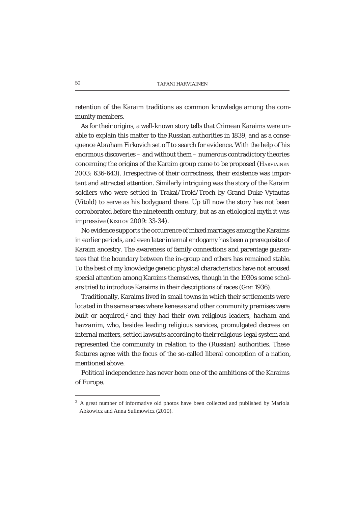retention of the Karaim traditions as common knowledge among the community members.

As for their origins, a well-known story tells that Crimean Karaims were unable to explain this matter to the Russian authorities in 1839, and as a consequence Abraham Firkovich set off to search for evidence. With the help of his enormous discoveries – and without them – numerous contradictory theories concerning the origins of the Karaim group came to be proposed (HARVIAINEN 2003: 636-643). Irrespective of their correctness, their existence was important and attracted attention. Similarly intriguing was the story of the Karaim soldiers who were settled in Trakai/Troki/Troch by Grand Duke Vytautas (Vitold) to serve as his bodyguard there. Up till now the story has not been corroborated before the nineteenth century, but as an etiological myth it was impressive (KIZILOV 2009: 33-34).

No evidence supports the occurrence of mixed marriages among the Karaims in earlier periods, and even later internal endogamy has been a prerequisite of Karaim ancestry. The awareness of family connections and parentage guarantees that the boundary between the in-group and others has remained stable. To the best of my knowledge genetic physical characteristics have not aroused special attention among Karaims themselves, though in the 1930s some scholars tried to introduce Karaims in their descriptions of races (GINI 1936).

Traditionally, Karaims lived in small towns in which their settlements were located in the same areas where *kenesas* and other community premises were built or acquired,<sup>2</sup> and they had their own religious leaders, *hacham* and *hazzanim,* who, besides leading religious services, promulgated decrees on internal matters, settled lawsuits according to their religious-legal system and represented the community in relation to the (Russian) authorities. These features agree with the focus of the so-called liberal conception of a nation, mentioned above.

Political independence has never been one of the ambitions of the Karaims of Europe.

<sup>&</sup>lt;sup>2</sup> A great number of informative old photos have been collected and published by Mariola Abkowicz and Anna Sulimowicz (2010).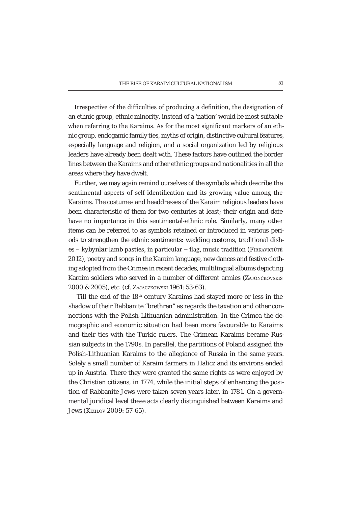Irrespective of the difficulties of producing a definition, the designation of an *ethnic* group, *ethnic* minority, instead of a 'nation' would be most suitable when referring to the Karaims. As for the most significant markers of an ethnic group, endogamic family ties, myths of origin, distinctive cultural features, especially language and religion, and a social organization led by religious leaders have already been dealt with. These factors have outlined the border lines between the Karaims and other ethnic groups and nationalities in all the areas where they have dwelt.

Further, we may again remind ourselves of the symbols which describe the sentimental aspects of self-identification and its growing value among the Karaims. The costumes and headdresses of the Karaim religious leaders have been characteristic of them for two centuries at least; their origin and date have no importance in this sentimental-ethnic role. Similarly, many other items can be referred to as symbols retained or introduced in various periods to strengthen the ethnic sentiments: wedding customs, traditional dishes – *kybynlar* lamb pasties, in particular – flag, music tradition (FIRKAVIČIŪTĖ 2012), poetry and songs in the Karaim language, new dances and festive clothing adopted from the Crimea in recent decades, multilingual albums depicting Karaim soldiers who served in a number of different armies (ZAJONČKOVSKIS 2000 & 2005), etc. (cf. ZAJACZKOWSKI 1961: 53-63).

Till the end of the 18<sup>th</sup> century Karaims had stayed more or less in the shadow of their Rabbanite "brethren" as regards the taxation and other connections with the Polish-Lithuanian administration. In the Crimea the demographic and economic situation had been more favourable to Karaims and their ties with the Turkic rulers. The Crimean Karaims became Russian subjects in the 1790s. In parallel, the partitions of Poland assigned the Polish-Lithuanian Karaims to the allegiance of Russia in the same years. Solely a small number of Karaim farmers in Halicz and its environs ended up in Austria. There they were granted the same rights as were enjoyed by the Christian citizens, in 1774, while the initial steps of enhancing the position of Rabbanite Jews were taken seven years later, in 1781. On a governmental juridical level these acts clearly distinguished between Karaims and Jews (KIZILOV 2009: 57-65).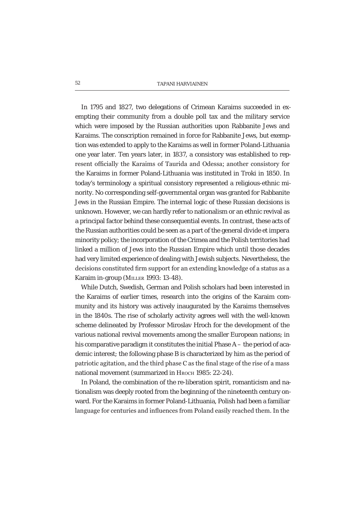## 52 TAPANI HARVIAINEN

In 1795 and 1827, two delegations of Crimean Karaims succeeded in exempting their community from a double poll tax and the military service which were imposed by the Russian authorities upon Rabbanite Jews and Karaims. The conscription remained in force for Rabbanite Jews, but exemption was extended to apply to the Karaims as well in former Poland-Lithuania one year later. Ten years later, in 1837, a consistory was established to represent officially the Karaims of Taurida and Odessa; another consistory for the Karaims in former Poland-Lithuania was instituted in Troki in 1850. In today's terminology a spiritual consistory represented a religious-ethnic minority. No corresponding self-governmental organ was granted for Rabbanite Jews in the Russian Empire. The internal logic of these Russian decisions is unknown. However, we can hardly refer to nationalism or an ethnic revival as a principal factor behind these consequential events. In contrast, these acts of the Russian authorities could be seen as a part of the general *divide et impera* minority policy; the incorporation of the Crimea and the Polish territories had linked a million of Jews into the Russian Empire which until those decades had very limited experience of dealing with Jewish subjects. Nevertheless, the decisions constituted firm support for an extending knowledge of a status as a Karaim in-group (MILLER 1993: 13-48).

While Dutch, Swedish, German and Polish scholars had been interested in the Karaims of earlier times, research into the origins of the Karaim community and its history was actively inaugurated by the Karaims themselves in the 1840s. The rise of scholarly activity agrees well with the well-known scheme delineated by Professor Miroslav Hroch for the development of the various national revival movements among the smaller European nations; in his comparative paradigm it constitutes the initial Phase A – the period of academic interest; the following phase B is characterized by him as the period of patriotic agitation, and the third phase C as the final stage of the rise of a mass national movement (summarized in HROCH 1985: 22-24).

In Poland, the combination of the re-liberation spirit, romanticism and nationalism was deeply rooted from the beginning of the nineteenth century onward. For the Karaims in former Poland-Lithuania, Polish had been a familiar language for centuries and influences from Poland easily reached them. In the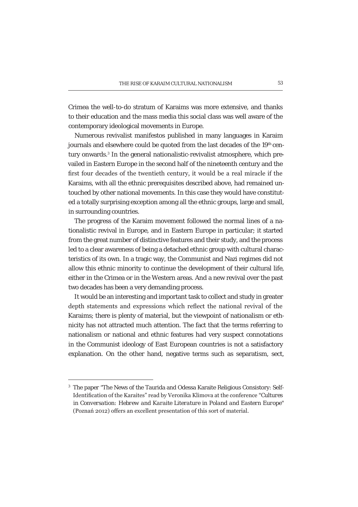Crimea the well-to-do stratum of Karaims was more extensive, and thanks to their education and the mass media this social class was well aware of the contemporary ideological movements in Europe.

Numerous revivalist manifestos published in many languages in Karaim journals and elsewhere could be quoted from the last decades of the 19th century onwards.<sup>3</sup> In the general nationalistic-revivalist atmosphere, which prevailed in Eastern Europe in the second half of the nineteenth century and the first four decades of the twentieth century, it would be a real miracle if the Karaims, with all the ethnic prerequisites described above, had remained untouched by other national movements. In this case they would have constituted a totally surprising exception among all the ethnic groups, large and small, in surrounding countries.

The progress of the Karaim movement followed the normal lines of a nationalistic revival in Europe, and in Eastern Europe in particular; it started from the great number of distinctive features and their study, and the process led to a clear awareness of being a detached ethnic group with cultural characteristics of its own. In a tragic way, the Communist and Nazi regimes did not allow this ethnic minority to continue the development of their cultural life, either in the Crimea or in the Western areas. And a new revival over the past two decades has been a very demanding process.

It would be an interesting and important task to collect and study in greater depth statements and expressions which reflect the national revival of the Karaims; there is plenty of material, but the viewpoint of nationalism or ethnicity has not attracted much attention. The fact that the terms referring to nationalism or national and ethnic features had very suspect connotations in the Communist ideology of East European countries is not a satisfactory explanation. On the other hand, negative terms such as separatism, sect,

<sup>3</sup> The paper "The News of the Taurida and Odessa Karaite Religious Consistory: Self- Let I dentification of the Karaites" read by Veronika Klimova at the conference "Cultures" *in Conversation: Hebrew and Karaite Literature in Poland and Eastern Europe"*  (Poznań 2012) offers an excellent presentation of this sort of material.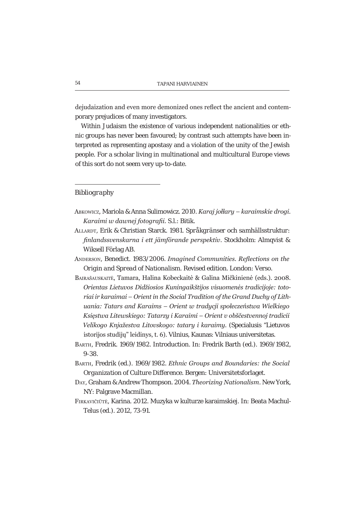dejudaization and even more demonized ones reflect the ancient and contemporary prejudices of many investigators.

Within Judaism the existence of various independent nationalities or ethnic groups has never been favoured; by contrast such attempts have been interpreted as representing apostasy and a violation of the unity of the Jewish people. For a scholar living in multinational and multicultural Europe views of this sort do not seem very up-to-date.

### Bibliography

- Авкомісz, Mariola & Anna Sulimowicz. 2010. Karaj jołłary karaimskie drogi. Karaimi w dawnei fotoarafii. S.l.: Bitik.
- ALLARDT, Erik & Christian Starck. 1981. Språkgränser och samhällsstruktur: finlandssvenskarna i ett jämförande perspektiv. Stockholm: Almqvist & Wiksell Förlag AB.

ANDERSON, Benedict. 1983/2006. Imagined Communities. Reflections on the Origin and Spread of Nationalism. Revised edition. London: Verso.

- BAIRAŠAUSKAITĖ, Tamara, Halina Kobeckaitė & Galina Mičkinienė (eds.). 2008. Orientas Lietuvos Didžiosios Kuningaikštijos visuomenės tradicijoje: totoriai ir karaimai – Orient in the Social Tradition of the Grand Duchy of Lithuania: Tatars and Karaims - Orient w tradycji społeczeństwa Wielkiego Ksiestwa Litewskiego: Tatarzy i Karaimi – Orient v obščestvennoj tradicii Velikogo Knjažestva Litovskogo: tatary i karaimy. (Specialusis "Lietuvos istorijos studijų" leidinys, t. 6). Vilnius, Kaunas: Vilniaus universitetas.
- BARTH, Fredrik. 1969/1982. Introduction. In: Fredrik Barth (ed.). 1969/1982,  $9 - 38$
- BARTH, Fredrik (ed.). 1969/1982. Ethnic Groups and Boundaries: the Social Organization of Culture Difference. Bergen: Universitetsforlaget.
- DAY, Graham & Andrew Thompson, 2004, Theorizing Nationalism, New York. NY: Palgrave Macmillan.
- FIRKAVIČIŪTĖ, Karina. 2012. Muzyka w kulturze karaimskiej. In: Beata Machul-Telus (ed.). 2012, 73-91.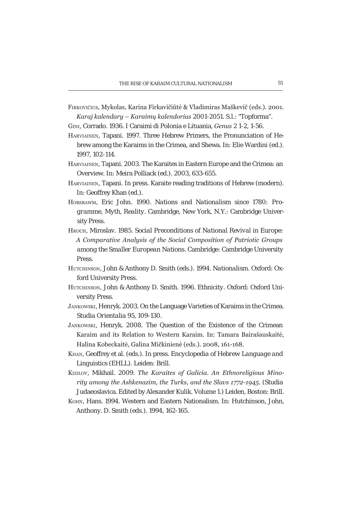- FIRKOVIČIUS, Mykolas, Karina Firkavičiūtė & Vladimiras Maškevič (eds.). 2001. Karaj kalendary – Karaimų kalendorius 2001-2051. S.I.: "Topforma".
- GINI, Corrado. 1936. I Caraimi di Polonia e Lituania, Genus 2 1-2, 1-56.
- HARVIAINEN, Tapani, 1997. Three Hebrew Primers, the Pronunciation of Hebrew among the Karaims in the Crimea, and Shewa. In: Elie Wardini (ed.). 1997, 102-114.
- HARVIAINEN, Tapani. 2003. The Karaites in Eastern Europe and the Crimea: an Overview. In: Meira Polliack (ed.). 2003, 633-655.
- HARVIAINEN, Tapani. In press. Karaite reading traditions of Hebrew (modern). In: Geoffrey Khan (ed.).
- HOBSBAWM, Eric John, 1990. Nations and Nationalism since 1780: Programme, Myth, Reality. Cambridge, New York, N.Y.: Cambridge University Press.
- HROCH, Miroslav. 1985. Social Preconditions of National Revival in Europe: A Comparative Analysis of the Social Composition of Patriotic Groups among the Smaller European Nations. Cambridge: Cambridge University Press.
- HUTCHINSON, John & Anthony D. Smith (eds.), 1994, Nationalism, Oxford: Oxford University Press.
- HUTCHINSON, John & Anthony D. Smith, 1996. Ethnicity, Oxford: Oxford University Press.
- JANKOWSKI, Henryk. 2003. On the Language Varieties of Karaims in the Crimea. Studia Orientalia 95, 109-130.
- JANKOWSKI, Henryk. 2008. The Question of the Existence of the Crimean Karaim and its Relation to Western Karaim. In: Tamara Bairašauskaitė, Halina Kobeckaitė, Galina Mičkinienė (eds.), 2008, 161-168.
- KHAN, Geoffrey et al. (eds.). In press. Encyclopedia of Hebrew Language and Linguistics (EHLL). Leiden: Brill.
- KiziLov, Mikhail, 2009. The Karaites of Galicia. An Ethnoreliaious Minority among the Ashkenazim, the Turks, and the Slavs 1772-1945. (Studia Judaeoslavica. Edited by Alexander Kulik. Volume 1.) Leiden, Boston: Brill.
- Кону. Hans. 1994. Western and Eastern Nationalism. In: Hutchinson, John. Anthony. D. Smith (eds.). 1994, 162-165.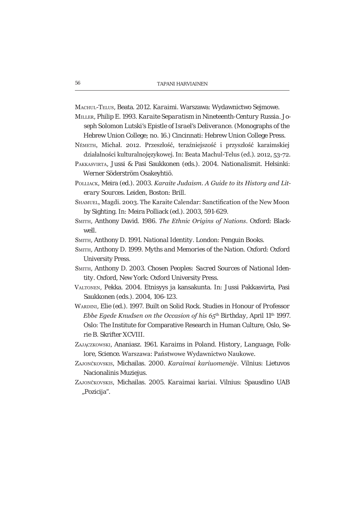MACHUL-TELUS, Beata. 2012. Karaimi. Warszawa: Wydawnictwo Sejmowe.

- MILLER, Philip E. 1993. Karaite Separatism in Nineteenth-Century Russia. Joseph Solomon Lutski's Epistle of Israel's Deliverance. (Monographs of the Hebrew Union College: no. 16.) Cincinnati: Hebrew Union College Press.
- Németh, Michał, 2012, Przeszłość, teraźniejszość i przyszłość karaimskiej działalności kulturalnojęzykowej. In: Beata Machul-Telus (ed.). 2012, 53-72.
- PAKKASVIRTA, Jussi & Pasi Saukkonen (eds.). 2004. Nationalismit. Helsinki: Werner Söderström Osakeyhtiö.
- POLLIACK, Meira (ed.). 2003. Karaite Judaism. A Guide to its History and Literary Sources. Leiden, Boston: Brill.
- SHAMUEL, Magdi. 2003. The Karaite Calendar: Sanctification of the New Moon by Sighting. In: Meira Polliack (ed.). 2003, 591-629.
- SMITH, Anthony David, 1986. The Ethnic Origins of Nations, Oxford: Black-**Il**ew
- SMITH, Anthony D. 1991. National Identity. London: Penguin Books.
- SMITH, Anthony D. 1999. Myths and Memories of the Nation. Oxford: Oxford **University Press.**
- SMITH, Anthony D. 2003. Chosen Peoples: Sacred Sources of National Identity. Oxford, New York: Oxford University Press.
- VALTONEN, Pekka, 2004. Etnisyys ja kansakunta. In: Jussi Pakkasvirta, Pasi Saukkonen (eds.). 2004, 106-123.
- WARDINI, Elie (ed.). 1997. Built on Solid Rock. Studies in Honour of Professor *Ebbe Egede Knudsen on the Occasion of his*  $65<sup>th</sup>$  *Birthday, April 11<sup>th</sup> 1997.* Oslo: The Institute for Comparative Research in Human Culture, Oslo, Serie B. Skrifter XCVIII.
- ZAJĄCZKOWSKI, Ananiasz. 1961. Karaims in Poland. History, Language, Folklore, Science, Warszawa: Państwowe Wydawnictwo Naukowe.
- ZAJONČKOVSKIS, Michailas. 2000. Karaimai kariuomenėje. Vilnius: Lietuvos Nacionalinis Muzieius.
- ZAJONČKOVSKIS, Michailas. 2005. Karaimai kariai. Vilnius: Spausdino UAB "Pozicija".